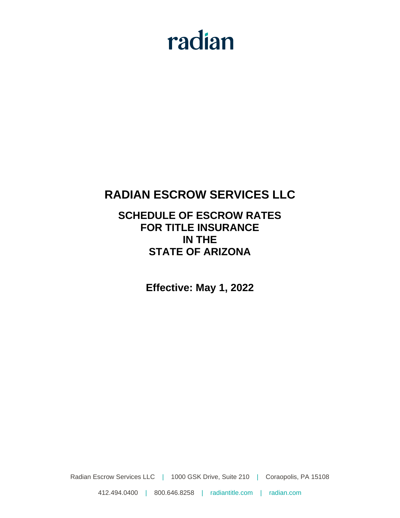# radian

## **RADIAN ESCROW SERVICES LLC**

### **SCHEDULE OF ESCROW RATES FOR TITLE INSURANCE IN THE STATE OF ARIZONA**

**Effective: May 1, 2022**

Radian Escrow Services LLC | 1000 GSK Drive, Suite 210 | Coraopolis, PA 15108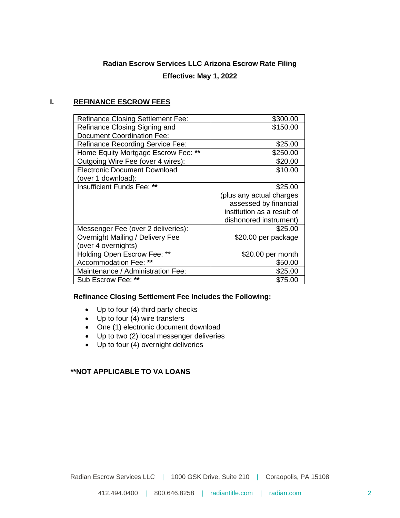#### **Radian Escrow Services LLC Arizona Escrow Rate Filing**

#### **Effective: May 1, 2022**

#### **I. REFINANCE ESCROW FEES**

| <b>Refinance Closing Settlement Fee:</b> | \$300.00                   |
|------------------------------------------|----------------------------|
| Refinance Closing Signing and            | \$150.00                   |
| <b>Document Coordination Fee:</b>        |                            |
| <b>Refinance Recording Service Fee:</b>  | \$25.00                    |
| Home Equity Mortgage Escrow Fee: **      | \$250.00                   |
| Outgoing Wire Fee (over 4 wires):        | \$20.00                    |
| <b>Electronic Document Download</b>      | \$10.00                    |
| (over 1 download):                       |                            |
| Insufficient Funds Fee: **               | \$25.00                    |
|                                          | (plus any actual charges   |
|                                          | assessed by financial      |
|                                          | institution as a result of |
|                                          | dishonored instrument)     |
| Messenger Fee (over 2 deliveries):       | \$25.00                    |
| Overnight Mailing / Delivery Fee         | \$20.00 per package        |
| (over 4 overnights)                      |                            |
| Holding Open Escrow Fee: **              | \$20.00 per month          |
| Accommodation Fee: **                    | \$50.00                    |
| Maintenance / Administration Fee:        | \$25.00                    |
| Sub Escrow Fee: **                       | \$75.00                    |
|                                          |                            |

#### **Refinance Closing Settlement Fee Includes the Following:**

- Up to four (4) third party checks
- Up to four (4) wire transfers
- One (1) electronic document download
- Up to two (2) local messenger deliveries
- Up to four (4) overnight deliveries

#### **\*\*NOT APPLICABLE TO VA LOANS**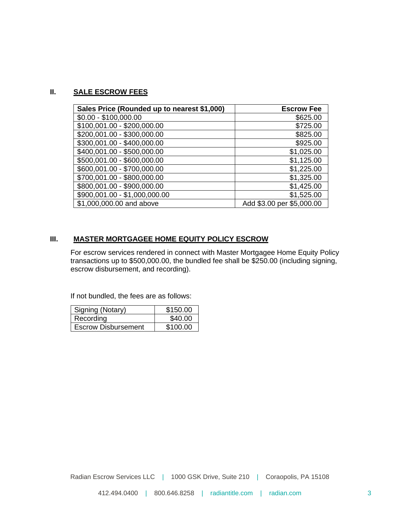#### **II. SALE ESCROW FEES**

| Sales Price (Rounded up to nearest \$1,000) | <b>Escrow Fee</b>         |
|---------------------------------------------|---------------------------|
| $$0.00 - $100,000.00$                       | \$625.00                  |
| \$100,001.00 - \$200,000.00                 | \$725.00                  |
| \$200,001.00 - \$300,000.00                 | \$825.00                  |
| \$300,001.00 - \$400,000.00                 | \$925.00                  |
| \$400,001.00 - \$500,000.00                 | \$1,025.00                |
| \$500,001.00 - \$600,000.00                 | \$1,125.00                |
| \$600,001.00 - \$700,000.00                 | \$1,225.00                |
| \$700,001.00 - \$800,000.00                 | \$1,325.00                |
| \$800,001.00 - \$900,000.00                 | \$1,425.00                |
| \$900,001.00 - \$1,000,000.00               | \$1,525.00                |
| \$1,000,000.00 and above                    | Add \$3.00 per \$5,000.00 |

#### **III. MASTER MORTGAGEE HOME EQUITY POLICY ESCROW**

For escrow services rendered in connect with Master Mortgagee Home Equity Policy transactions up to \$500,000.00, the bundled fee shall be \$250.00 (including signing, escrow disbursement, and recording).

If not bundled, the fees are as follows:

| Signing (Notary)           | \$150.00 |
|----------------------------|----------|
| Recording                  | \$40.00  |
| <b>Escrow Disbursement</b> | \$100.00 |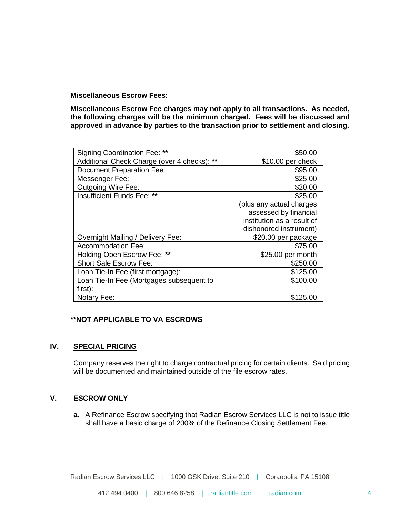**Miscellaneous Escrow Fees:**

**Miscellaneous Escrow Fee charges may not apply to all transactions. As needed, the following charges will be the minimum charged. Fees will be discussed and approved in advance by parties to the transaction prior to settlement and closing.**

| <b>Signing Coordination Fee: **</b>         | \$50.00                    |
|---------------------------------------------|----------------------------|
| Additional Check Charge (over 4 checks): ** | \$10.00 per check          |
| <b>Document Preparation Fee:</b>            | \$95.00                    |
| Messenger Fee:                              | \$25.00                    |
| <b>Outgoing Wire Fee:</b>                   | \$20.00                    |
| Insufficient Funds Fee: **                  | \$25.00                    |
|                                             | (plus any actual charges   |
|                                             | assessed by financial      |
|                                             | institution as a result of |
|                                             | dishonored instrument)     |
| Overnight Mailing / Delivery Fee:           | \$20.00 per package        |
| <b>Accommodation Fee:</b>                   | \$75.00                    |
| Holding Open Escrow Fee: **                 | \$25.00 per month          |
| <b>Short Sale Escrow Fee:</b>               | \$250.00                   |
| Loan Tie-In Fee (first mortgage):           | \$125.00                   |
| Loan Tie-In Fee (Mortgages subsequent to    | \$100.00                   |
| first):                                     |                            |
| Notary Fee:                                 | \$125.00                   |

#### **\*\*NOT APPLICABLE TO VA ESCROWS**

#### **IV. SPECIAL PRICING**

Company reserves the right to charge contractual pricing for certain clients. Said pricing will be documented and maintained outside of the file escrow rates.

#### **V. ESCROW ONLY**

**a.** A Refinance Escrow specifying that Radian Escrow Services LLC is not to issue title shall have a basic charge of 200% of the Refinance Closing Settlement Fee.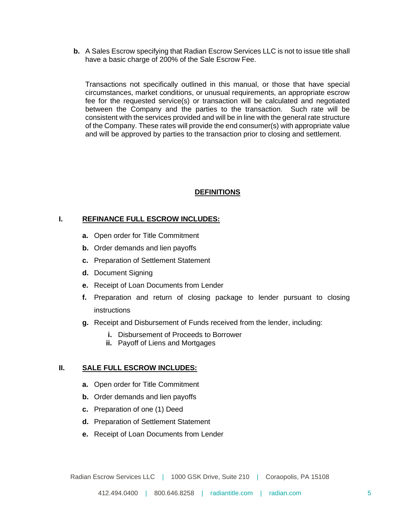**b.** A Sales Escrow specifying that Radian Escrow Services LLC is not to issue title shall have a basic charge of 200% of the Sale Escrow Fee.

Transactions not specifically outlined in this manual, or those that have special circumstances, market conditions, or unusual requirements, an appropriate escrow fee for the requested service(s) or transaction will be calculated and negotiated between the Company and the parties to the transaction. Such rate will be consistent with the services provided and will be in line with the general rate structure of the Company. These rates will provide the end consumer(s) with appropriate value and will be approved by parties to the transaction prior to closing and settlement.

#### **DEFINITIONS**

#### **I. REFINANCE FULL ESCROW INCLUDES:**

- **a.** Open order for Title Commitment
- **b.** Order demands and lien payoffs
- **c.** Preparation of Settlement Statement
- **d.** Document Signing
- **e.** Receipt of Loan Documents from Lender
- **f.** Preparation and return of closing package to lender pursuant to closing instructions
- **g.** Receipt and Disbursement of Funds received from the lender, including:
	- **i.** Disbursement of Proceeds to Borrower
	- **ii.** Payoff of Liens and Mortgages

#### **II. SALE FULL ESCROW INCLUDES:**

- **a.** Open order for Title Commitment
- **b.** Order demands and lien payoffs
- **c.** Preparation of one (1) Deed
- **d.** Preparation of Settlement Statement
- **e.** Receipt of Loan Documents from Lender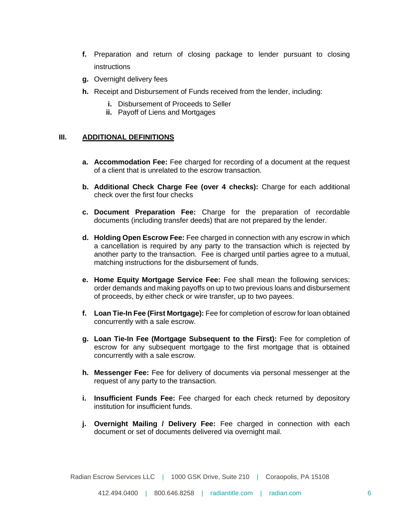- **f.** Preparation and return of closing package to lender pursuant to closing instructions
- **g.** Overnight delivery fees
- **h.** Receipt and Disbursement of Funds received from the lender, including:
	- **i.** Disbursement of Proceeds to Seller
	- **ii.** Payoff of Liens and Mortgages

#### **III. ADDITIONAL DEFINITIONS**

- **a. Accommodation Fee:** Fee charged for recording of a document at the request of a client that is unrelated to the escrow transaction.
- **b. Additional Check Charge Fee (over 4 checks):** Charge for each additional check over the first four checks
- **c. Document Preparation Fee:** Charge for the preparation of recordable documents (including transfer deeds) that are not prepared by the lender.
- **d. Holding Open Escrow Fee:** Fee charged in connection with any escrow in which a cancellation is required by any party to the transaction which is rejected by another party to the transaction. Fee is charged until parties agree to a mutual, matching instructions for the disbursement of funds.
- **e. Home Equity Mortgage Service Fee:** Fee shall mean the following services: order demands and making payoffs on up to two previous loans and disbursement of proceeds, by either check or wire transfer, up to two payees.
- **f. Loan Tie-In Fee (First Mortgage):** Fee for completion of escrow for loan obtained concurrently with a sale escrow.
- **g. Loan Tie-In Fee (Mortgage Subsequent to the First):** Fee for completion of escrow for any subsequent mortgage to the first mortgage that is obtained concurrently with a sale escrow.
- **h. Messenger Fee:** Fee for delivery of documents via personal messenger at the request of any party to the transaction.
- **i. Insufficient Funds Fee:** Fee charged for each check returned by depository institution for insufficient funds.
- **j. Overnight Mailing / Delivery Fee:** Fee charged in connection with each document or set of documents delivered via overnight mail.